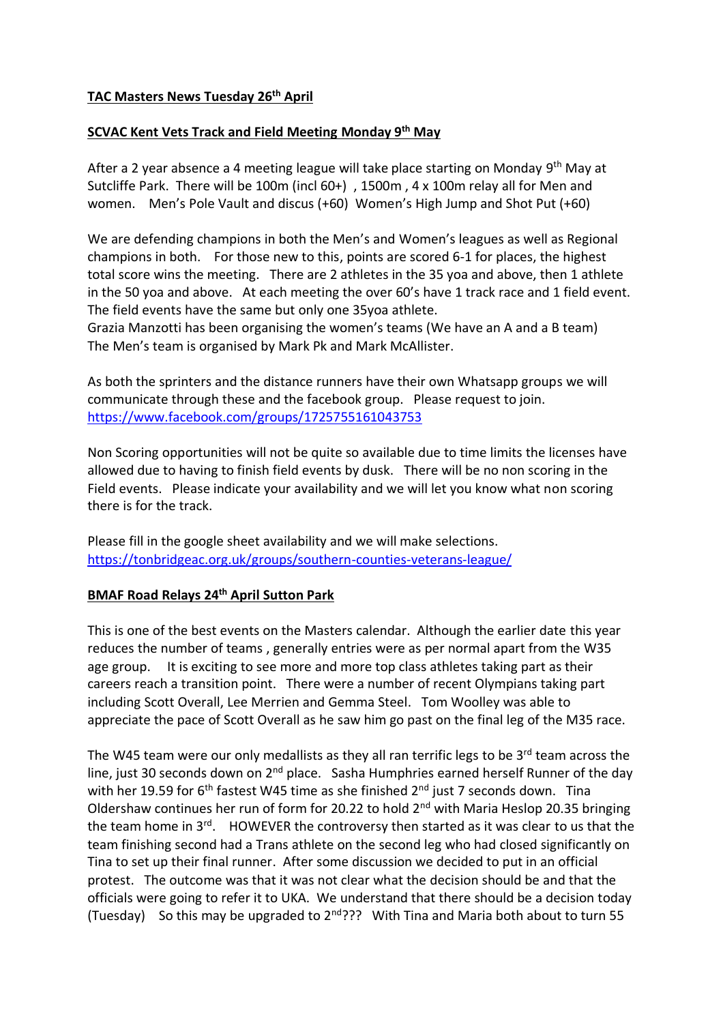# **TAC Masters News Tuesday 26th April**

### **SCVAC Kent Vets Track and Field Meeting Monday 9th May**

After a 2 year absence a 4 meeting league will take place starting on Monday 9<sup>th</sup> May at Sutcliffe Park. There will be 100m (incl 60+) , 1500m , 4 x 100m relay all for Men and women. Men's Pole Vault and discus (+60) Women's High Jump and Shot Put (+60)

We are defending champions in both the Men's and Women's leagues as well as Regional champions in both. For those new to this, points are scored 6-1 for places, the highest total score wins the meeting. There are 2 athletes in the 35 yoa and above, then 1 athlete in the 50 yoa and above. At each meeting the over 60's have 1 track race and 1 field event. The field events have the same but only one 35yoa athlete.

Grazia Manzotti has been organising the women's teams (We have an A and a B team) The Men's team is organised by Mark Pk and Mark McAllister.

As both the sprinters and the distance runners have their own Whatsapp groups we will communicate through these and the facebook group. Please request to join. <https://www.facebook.com/groups/1725755161043753>

Non Scoring opportunities will not be quite so available due to time limits the licenses have allowed due to having to finish field events by dusk. There will be no non scoring in the Field events. Please indicate your availability and we will let you know what non scoring there is for the track.

Please fill in the google sheet availability and we will make selections. <https://tonbridgeac.org.uk/groups/southern-counties-veterans-league/>

### **BMAF Road Relays 24th April Sutton Park**

This is one of the best events on the Masters calendar. Although the earlier date this year reduces the number of teams , generally entries were as per normal apart from the W35 age group. It is exciting to see more and more top class athletes taking part as their careers reach a transition point. There were a number of recent Olympians taking part including Scott Overall, Lee Merrien and Gemma Steel. Tom Woolley was able to appreciate the pace of Scott Overall as he saw him go past on the final leg of the M35 race.

The W45 team were our only medallists as they all ran terrific legs to be  $3<sup>rd</sup>$  team across the line, just 30 seconds down on 2<sup>nd</sup> place. Sasha Humphries earned herself Runner of the day with her 19.59 for  $6<sup>th</sup>$  fastest W45 time as she finished  $2<sup>nd</sup>$  just 7 seconds down. Tina Oldershaw continues her run of form for 20.22 to hold  $2<sup>nd</sup>$  with Maria Heslop 20.35 bringing the team home in  $3^{rd}$ . HOWEVER the controversy then started as it was clear to us that the team finishing second had a Trans athlete on the second leg who had closed significantly on Tina to set up their final runner. After some discussion we decided to put in an official protest. The outcome was that it was not clear what the decision should be and that the officials were going to refer it to UKA. We understand that there should be a decision today (Tuesday) So this may be upgraded to  $2^{nd}$ ??? With Tina and Maria both about to turn 55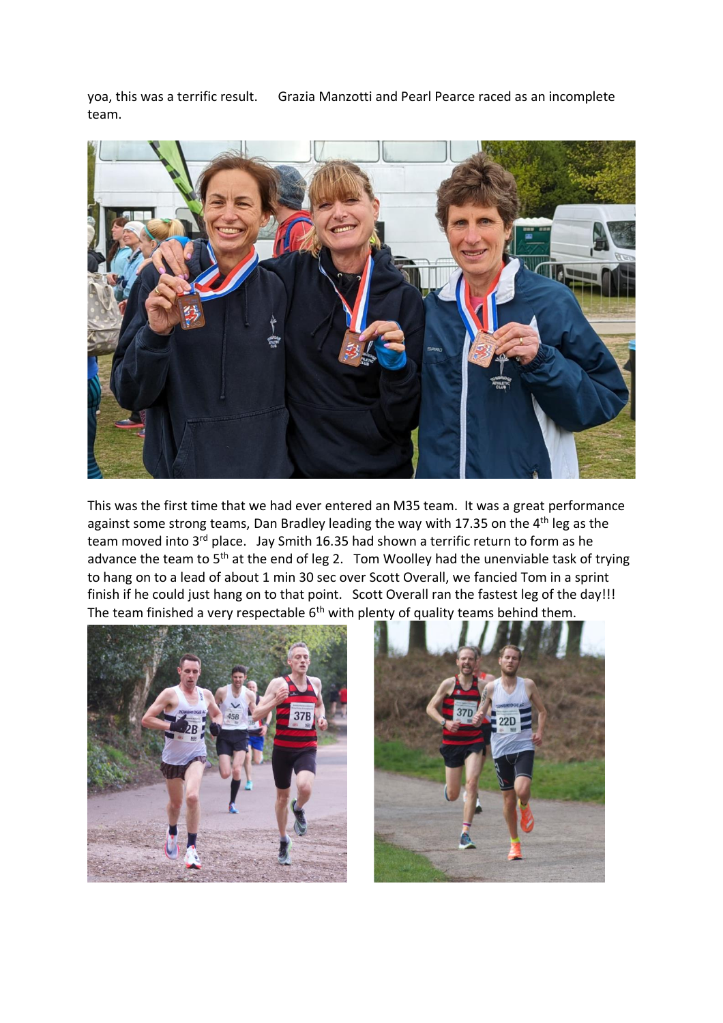yoa, this was a terrific result. Grazia Manzotti and Pearl Pearce raced as an incomplete team.



This was the first time that we had ever entered an M35 team. It was a great performance against some strong teams, Dan Bradley leading the way with 17.35 on the  $4<sup>th</sup>$  leg as the team moved into 3<sup>rd</sup> place. Jay Smith 16.35 had shown a terrific return to form as he advance the team to 5<sup>th</sup> at the end of leg 2. Tom Woolley had the unenviable task of trying to hang on to a lead of about 1 min 30 sec over Scott Overall, we fancied Tom in a sprint finish if he could just hang on to that point. Scott Overall ran the fastest leg of the day!!! The team finished a very respectable  $6<sup>th</sup>$  with plenty of quality teams behind them.



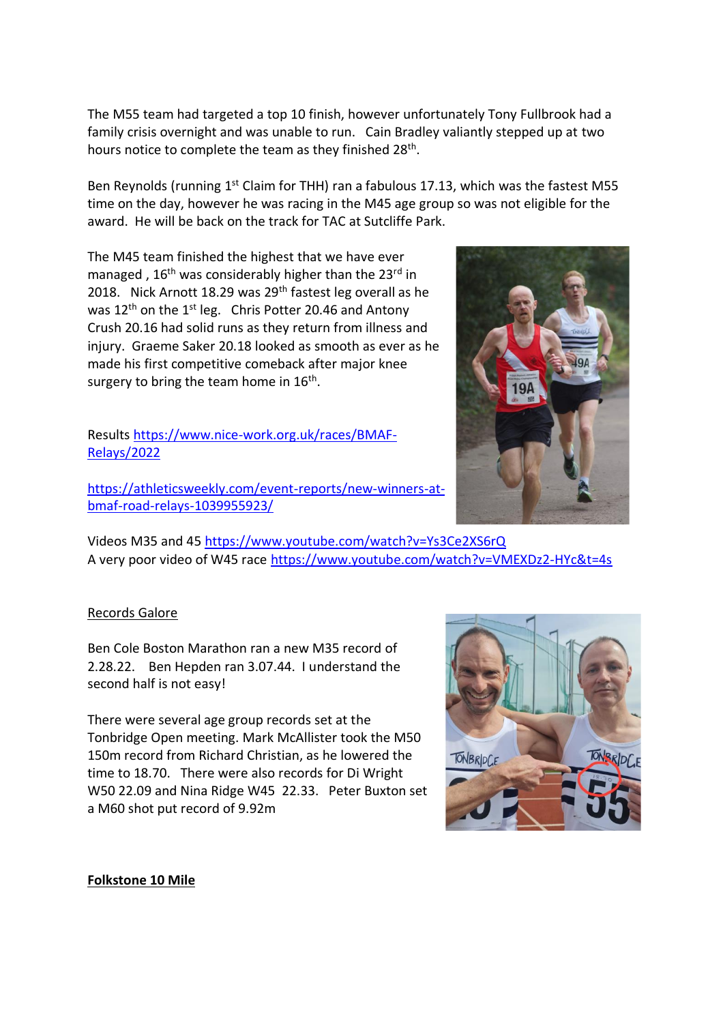The M55 team had targeted a top 10 finish, however unfortunately Tony Fullbrook had a family crisis overnight and was unable to run. Cain Bradley valiantly stepped up at two hours notice to complete the team as they finished 28<sup>th</sup>.

Ben Reynolds (running 1<sup>st</sup> Claim for THH) ran a fabulous 17.13, which was the fastest M55 time on the day, however he was racing in the M45 age group so was not eligible for the award. He will be back on the track for TAC at Sutcliffe Park.

The M45 team finished the highest that we have ever managed,  $16<sup>th</sup>$  was considerably higher than the 23<sup>rd</sup> in 2018. Nick Arnott 18.29 was 29<sup>th</sup> fastest leg overall as he was  $12<sup>th</sup>$  on the  $1<sup>st</sup>$  leg. Chris Potter 20.46 and Antony Crush 20.16 had solid runs as they return from illness and injury. Graeme Saker 20.18 looked as smooth as ever as he made his first competitive comeback after major knee surgery to bring the team home in  $16^{\text{th}}$ .

Results [https://www.nice-work.org.uk/races/BMAF-](https://www.nice-work.org.uk/races/BMAF-Relays/2022)[Relays/2022](https://www.nice-work.org.uk/races/BMAF-Relays/2022)

[https://athleticsweekly.com/event-reports/new-winners-at](https://athleticsweekly.com/event-reports/new-winners-at-bmaf-road-relays-1039955923/)[bmaf-road-relays-1039955923/](https://athleticsweekly.com/event-reports/new-winners-at-bmaf-road-relays-1039955923/)



### Records Galore

Ben Cole Boston Marathon ran a new M35 record of 2.28.22. Ben Hepden ran 3.07.44. I understand the second half is not easy!

There were several age group records set at the Tonbridge Open meeting. Mark McAllister took the M50 150m record from Richard Christian, as he lowered the time to 18.70. There were also records for Di Wright W50 22.09 and Nina Ridge W45 22.33. Peter Buxton set a M60 shot put record of 9.92m



#### **Folkstone 10 Mile**

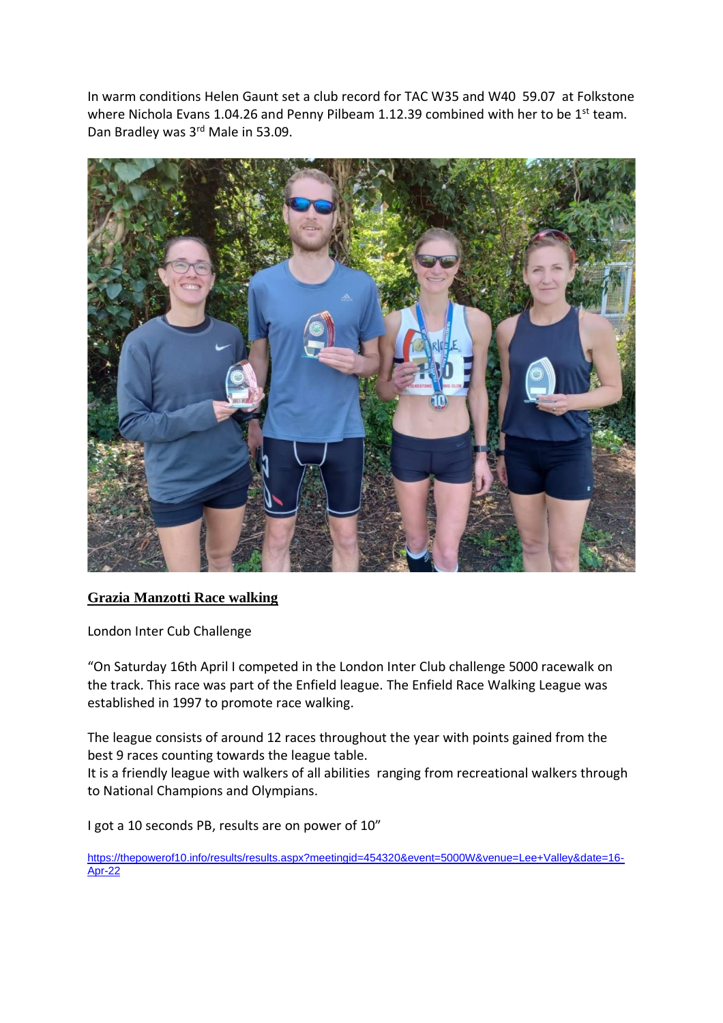In warm conditions Helen Gaunt set a club record for TAC W35 and W40 59.07 at Folkstone where Nichola Evans 1.04.26 and Penny Pilbeam 1.12.39 combined with her to be 1<sup>st</sup> team. Dan Bradley was 3rd Male in 53.09.



# **Grazia Manzotti Race walking**

London Inter Cub Challenge

"On Saturday 16th April I competed in the London Inter Club challenge 5000 racewalk on the track. This race was part of the Enfield league. The Enfield Race Walking League was established in 1997 to promote race walking.

The league consists of around 12 races throughout the year with points gained from the best 9 races counting towards the league table.

It is a friendly league with walkers of all abilities ranging from recreational walkers through to National Champions and Olympians.

I got a 10 seconds PB, results are on power of 10"

[https://thepowerof10.info/results/results.aspx?meetingid=454320&event=5000W&venue=Lee+Valley&date=16-](https://thepowerof10.info/results/results.aspx?meetingid=454320&event=5000W&venue=Lee+Valley&date=16-Apr-22) [Apr-22](https://thepowerof10.info/results/results.aspx?meetingid=454320&event=5000W&venue=Lee+Valley&date=16-Apr-22)